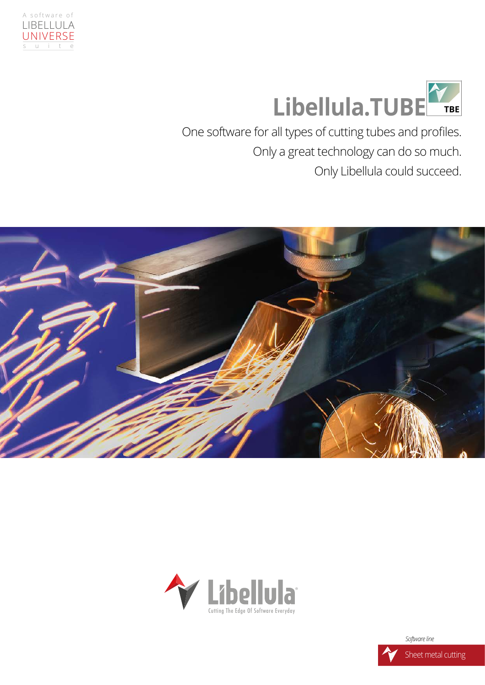



One software for all types of cutting tubes and profles. Only a great technology can do so much. Only Libellula could succeed.





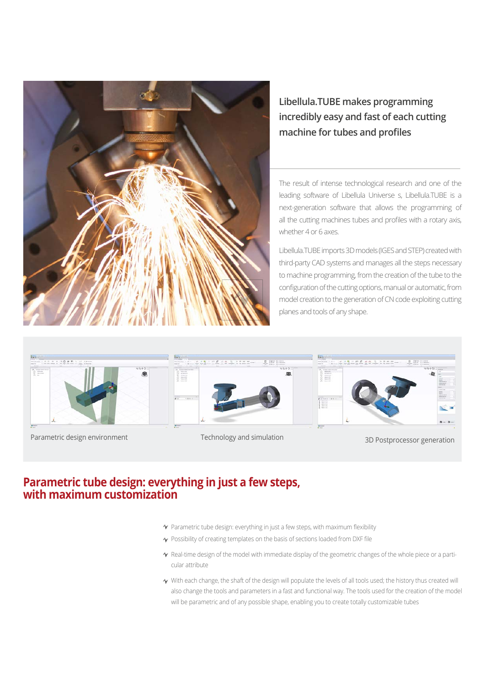

## **Libellula.TUBE makes programming incredibly easy and fast of each cutting machine for tubes and profles**

The result of intense technological research and one of the leading software of Libellula Universe s, Libellula.TUBE is a next-generation software that allows the programming of all the cutting machines tubes and profles with a rotary axis, whether 4 or 6 axes.

Libellula.TUBE imports 3D models (IGES and STEP) created with third-party CAD systems and manages all the steps necessary to machine programming, from the creation of the tube to the confguration of the cutting options, manual or automatic, from model creation to the generation of CN code exploiting cutting planes and tools of any shape.



Parametric design environment Technology and simulation 3D Postprocessor generation





## **Parametric tube design: everything in just a few steps, with maximum customization**

- $\gamma$  Parametric tube design: everything in just a few steps, with maximum flexibility
- $\gamma$  Possibility of creating templates on the basis of sections loaded from DXF file
- $\gamma$  Real-time design of the model with immediate display of the geometric changes of the whole piece or a particular attribute
- $\gamma$  With each change, the shaft of the design will populate the levels of all tools used; the history thus created will also change the tools and parameters in a fast and functional way. The tools used for the creation of the model will be parametric and of any possible shape, enabling you to create totally customizable tubes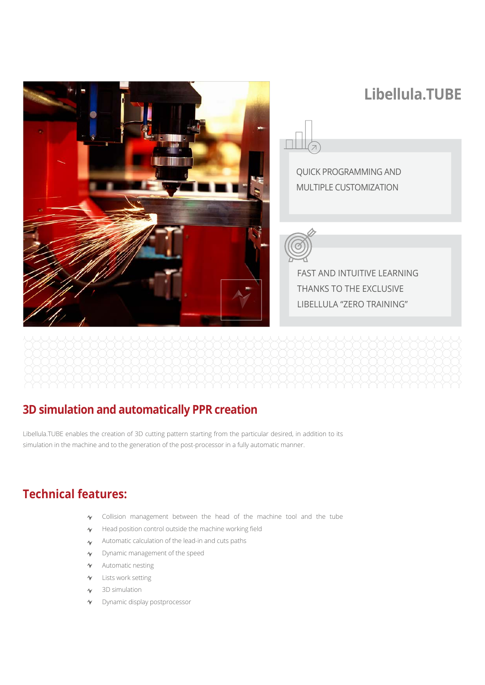

## **3D simulation and automatically PPR creation**

Libellula.TUBE enables the creation of 3D cutting pattern starting from the particular desired, in addition to its simulation in the machine and to the generation of the post-processor in a fully automatic manner.

## **Technical features:**

- Collision management between the head of the machine tool and the tube  $\mathcal{A}_{\mathbf{a} \mathbf{f}}$
- Head position control outside the machine working feld  $\mathbf{\hat{v}}$
- Automatic calculation of the lead-in and cuts paths  $\sim$
- Dynamic management of the speed  $\gamma$
- $\mathbf{\hat{v}}$  Automatic nesting
- $\sim$ Lists work setting
- 3D simulation  $\sim$
- Dynamic display postprocessor  $\sim$